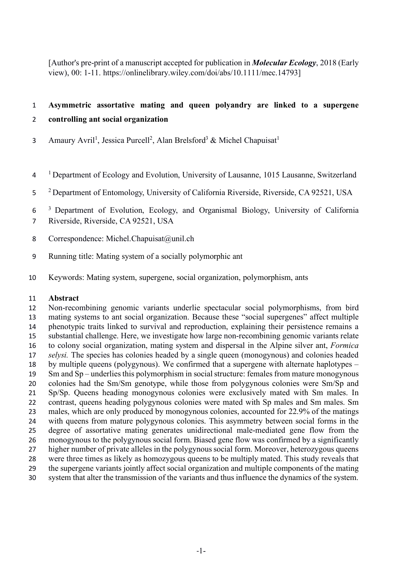[Author's pre-print of a manuscript accepted for publication in *Molecular Ecology*, 2018 (Early view), 00: 1-11. https://onlinelibrary.wiley.com/doi/abs/10.1111/mec.14793]

#### **Asymmetric assortative mating and queen polyandry are linked to a supergene**

#### **controlling ant social organization**

- 3 Amaury Avril<sup>1</sup>, Jessica Purcell<sup>2</sup>, Alan Brelsford<sup>3</sup> & Michel Chapuisat<sup>1</sup>
- 1 Department of Ecology and Evolution, University of Lausanne, 1015 Lausanne, Switzerland
- 2 Department of Entomology, University of California Riverside, Riverside, CA 92521, USA
- 6<sup>3</sup> Department of Evolution, Ecology, and Organismal Biology, University of California
- Riverside, Riverside, CA 92521, USA
- 8 Correspondence: Michel.Chapuisat@unil.ch
- Running title: Mating system of a socially polymorphic ant
- Keywords: Mating system, supergene, social organization, polymorphism, ants

#### **Abstract**

 Non-recombining genomic variants underlie spectacular social polymorphisms, from bird mating systems to ant social organization. Because these "social supergenes" affect multiple phenotypic traits linked to survival and reproduction, explaining their persistence remains a substantial challenge. Here, we investigate how large non-recombining genomic variants relate to colony social organization, mating system and dispersal in the Alpine silver ant, *Formica selysi.* The species has colonies headed by a single queen (monogynous) and colonies headed by multiple queens (polygynous). We confirmed that a supergene with alternate haplotypes – Sm and Sp – underlies this polymorphism in social structure: femalesfrom mature monogynous colonies had the Sm/Sm genotype, while those from polygynous colonies were Sm/Sp and Sp/Sp. Queens heading monogynous colonies were exclusively mated with Sm males. In 22 contrast, queens heading polygynous colonies were mated with Sp males and Sm males. Sm males, which are only produced by monogynous colonies, accounted for 22.9% of the matings with queens from mature polygynous colonies. This asymmetry between social forms in the degree of assortative mating generates unidirectional male-mediated gene flow from the monogynous to the polygynous social form. Biased gene flow was confirmed by a significantly higher number of private alleles in the polygynous social form. Moreover, heterozygous queens were three times as likely as homozygous queens to be multiply mated. This study reveals that the supergene variants jointly affect social organization and multiple components of the mating system that alter the transmission of the variants and thus influence the dynamics of the system.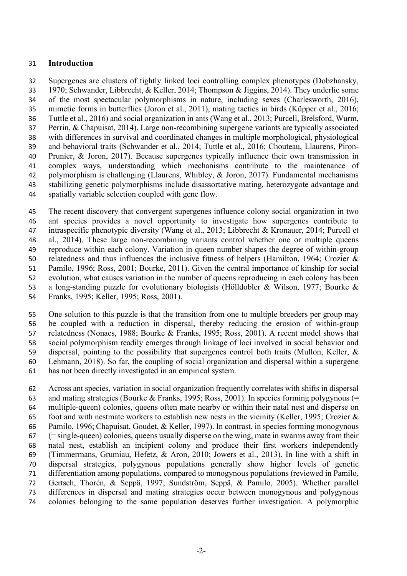#### **Introduction**

 Supergenes are clusters of tightly linked loci controlling complex phenotypes (Dobzhansky, 1970; Schwander, Libbrecht, & Keller, 2014; Thompson & Jiggins, 2014). They underlie some of the most spectacular polymorphisms in nature, including sexes (Charlesworth, 2016), mimetic forms in butterflies (Joron et al., 2011), mating tactics in birds (Küpper et al., 2016; Tuttle et al., 2016) and social organization in ants(Wang et al., 2013; Purcell, Brelsford, Wurm, Perrin, & Chapuisat, 2014). Large non-recombining supergene variants are typically associated with differences in survival and coordinated changes in multiple morphological, physiological and behavioral traits (Schwander et al., 2014; Tuttle et al., 2016; Chouteau, Llaurens, Piron- Prunier, & Joron, 2017). Because supergenes typically influence their own transmission in complex ways, understanding which mechanisms contribute to the maintenance of polymorphism is challenging (Llaurens, Whibley, & Joron, 2017). Fundamental mechanisms stabilizing genetic polymorphisms include disassortative mating, heterozygote advantage and spatially variable selection coupled with gene flow.

 The recent discovery that convergent supergenes influence colony social organization in two ant species provides a novel opportunity to investigate how supergenes contribute to intraspecific phenotypic diversity (Wang et al., 2013; Libbrecht & Kronauer, 2014; Purcell et al., 2014). These large non-recombining variants control whether one or multiple queens reproduce within each colony. Variation in queen number shapes the degree of within-group relatedness and thus influences the inclusive fitness of helpers (Hamilton, 1964; Crozier & Pamilo, 1996; Ross, 2001; Bourke, 2011). Given the central importance of kinship for social evolution, what causes variation in the number of queens reproducing in each colony has been a long-standing puzzle for evolutionary biologists (Hölldobler & Wilson, 1977; Bourke & Franks, 1995; Keller, 1995; Ross, 2001).

 One solution to this puzzle is that the transition from one to multiple breeders per group may be coupled with a reduction in dispersal, thereby reducing the erosion of within-group relatedness (Nonacs, 1988; Bourke & Franks, 1995; Ross, 2001). A recent model shows that social polymorphism readily emerges through linkage of loci involved in social behavior and dispersal, pointing to the possibility that supergenes control both traits (Mullon, Keller, & Lehmann, 2018). So far, the coupling of social organization and dispersal within a supergene has not been directly investigated in an empirical system.

 Across ant species, variation in social organization frequently correlates with shifts in dispersal 63 and mating strategies (Bourke & Franks, 1995; Ross, 2001). In species forming polygynous (= multiple-queen) colonies, queens often mate nearby or within their natal nest and disperse on 65 foot and with nestmate workers to establish new nests in the vicinity (Keller, 1995; Crozier  $\&$  Pamilo, 1996; Chapuisat, Goudet, & Keller, 1997). In contrast, in species forming monogynous (= single-queen) colonies, queens usually disperse on the wing, mate in swarms away from their natal nest, establish an incipient colony and produce their first workers independently (Timmermans, Grumiau, Hefetz, & Aron, 2010; Jowers et al., 2013). In line with a shift in dispersal strategies, polygynous populations generally show higher levels of genetic differentiation among populations, compared to monogynous populations (reviewed in Pamilo, Gertsch, Thorén, & Seppä, 1997; Sundström, Seppä, & Pamilo, 2005). Whether parallel differences in dispersal and mating strategies occur between monogynous and polygynous colonies belonging to the same population deserves further investigation. A polymorphic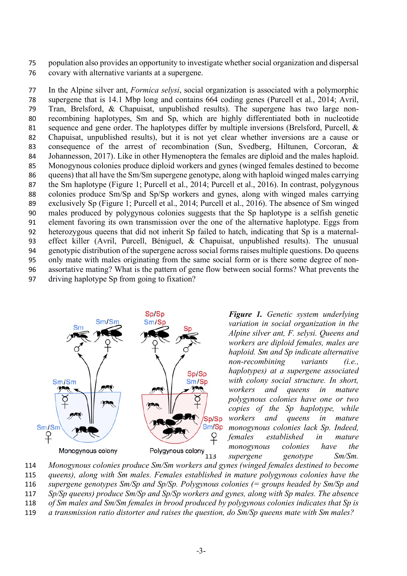population also provides an opportunity to investigate whether social organization and dispersal covary with alternative variants at a supergene.

 In the Alpine silver ant, *Formica selysi*, social organization is associated with a polymorphic supergene that is 14.1 Mbp long and contains 664 coding genes (Purcell et al., 2014; Avril, Tran, Brelsford, & Chapuisat, unpublished results). The supergene has two large non- recombining haplotypes, Sm and Sp, which are highly differentiated both in nucleotide sequence and gene order. The haplotypes differ by multiple inversions (Brelsford, Purcell, & Chapuisat, unpublished results), but it is not yet clear whether inversions are a cause or consequence of the arrest of recombination (Sun, Svedberg, Hiltunen, Corcoran, & Johannesson, 2017). Like in other Hymenoptera the females are diploid and the males haploid. Monogynous colonies produce diploid workers and gynes (winged females destined to become queens) that all have the Sm/Sm supergene genotype, along with haploid winged males carrying the Sm haplotype (Figure 1; Purcell et al., 2014; Purcell et al., 2016). In contrast, polygynous colonies produce Sm/Sp and Sp/Sp workers and gynes, along with winged males carrying exclusively Sp (Figure 1; Purcell et al., 2014; Purcell et al., 2016). The absence of Sm winged males produced by polygynous colonies suggests that the Sp haplotype is a selfish genetic element favoring its own transmission over the one of the alternative haplotype. Eggs from heterozygous queens that did not inherit Sp failed to hatch, indicating that Sp is a maternal- effect killer (Avril, Purcell, Béniguel, & Chapuisat, unpublished results). The unusual genotypic distribution of the supergene across social forms raises multiple questions. Do queens only mate with males originating from the same social form or is there some degree of non- assortative mating? What is the pattern of gene flow between social forms? What prevents the driving haplotype Sp from going to fixation?



 *Figure 1. Genetic system underlying variation in social organization in the Alpine silver ant, F. selysi. Queens and workers are diploid females, males are haploid. Sm and Sp indicate alternative non-recombining variants (i.e., haplotypes) at a supergene associated with colony social structure. In short,*  workers and queens in mature *polygynous colonies have one or two*  copies of the Sp haplotype, while *workers and queens in mature monogynous colonies lack Sp. Indeed, females established in mature*  **112 Polygynous colony**<br>112 **monogynous** colonies have the **property** conducts by **maginal** supergene genotype Sm/Sm.

 *Monogynous colonies produce Sm/Sm workers and gynes (winged females destined to become queens), along with Sm males. Females established in mature polygynous colonies have the supergene genotypes Sm/Sp and Sp/Sp. Polygynous colonies (= groups headed by Sm/Sp and Sp/Sp queens) produce Sm/Sp and Sp/Sp workers and gynes, along with Sp males. The absence of Sm males and Sm/Sm females in brood produced by polygynous colonies indicates that Sp is* 

*a transmission ratio distorter and raises the question, do Sm/Sp queens mate with Sm males?*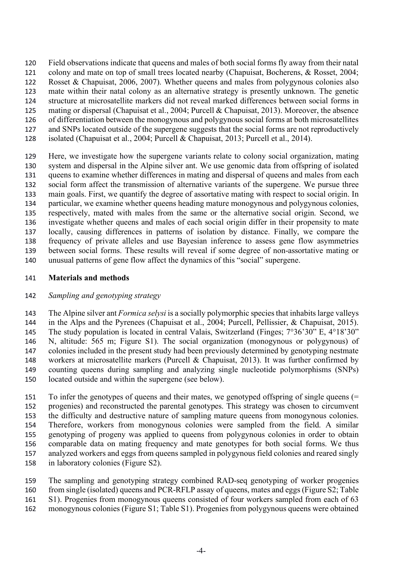Field observations indicate that queens and males of both social forms fly away from their natal colony and mate on top of small trees located nearby (Chapuisat, Bocherens, & Rosset, 2004; Rosset & Chapuisat, 2006, 2007). Whether queens and males from polygynous colonies also mate within their natal colony as an alternative strategy is presently unknown. The genetic structure at microsatellite markers did not reveal marked differences between social forms in mating or dispersal (Chapuisat et al., 2004; Purcell & Chapuisat, 2013). Moreover, the absence of differentiation between the monogynous and polygynous social forms at both microsatellites and SNPs located outside of the supergene suggests that the social forms are not reproductively

isolated (Chapuisat et al., 2004; Purcell & Chapuisat, 2013; Purcell et al., 2014).

 Here, we investigate how the supergene variants relate to colony social organization, mating system and dispersal in the Alpine silver ant. We use genomic data from offspring of isolated queens to examine whether differences in mating and dispersal of queens and males from each social form affect the transmission of alternative variants of the supergene. We pursue three main goals. First, we quantify the degree of assortative mating with respect to social origin. In particular, we examine whether queens heading mature monogynous and polygynous colonies, respectively, mated with males from the same or the alternative social origin. Second, we investigate whether queens and males of each social origin differ in their propensity to mate locally, causing differences in patterns of isolation by distance. Finally, we compare the frequency of private alleles and use Bayesian inference to assess gene flow asymmetries between social forms. These results will reveal if some degree of non-assortative mating or unusual patterns of gene flow affect the dynamics of this "social" supergene.

#### **Materials and methods**

#### *Sampling and genotyping strategy*

 The Alpine silver ant *Formica selysi* is a socially polymorphic species that inhabits large valleys in the Alps and the Pyrenees (Chapuisat et al., 2004; Purcell, Pellissier, & Chapuisat, 2015). The study population is located in central Valais, Switzerland (Finges; 7°36'30" E, 4°18'30" N, altitude: 565 m; Figure S1). The social organization (monogynous or polygynous) of colonies included in the present study had been previously determined by genotyping nestmate workers at microsatellite markers (Purcell & Chapuisat, 2013). It was further confirmed by counting queens during sampling and analyzing single nucleotide polymorphisms (SNPs) located outside and within the supergene (see below).

 To infer the genotypes of queens and their mates, we genotyped offspring of single queens (= progenies) and reconstructed the parental genotypes. This strategy was chosen to circumvent the difficulty and destructive nature of sampling mature queens from monogynous colonies. Therefore, workers from monogynous colonies were sampled from the field. A similar genotyping of progeny was applied to queens from polygynous colonies in order to obtain comparable data on mating frequency and mate genotypes for both social forms. We thus analyzed workers and eggs from queens sampled in polygynous field colonies and reared singly in laboratory colonies (Figure S2).

 The sampling and genotyping strategy combined RAD-seq genotyping of worker progenies from single (isolated) queens and PCR-RFLP assay of queens, mates and eggs (Figure S2; Table S1). Progenies from monogynous queens consisted of four workers sampled from each of 63

monogynous colonies (Figure S1; Table S1). Progenies from polygynous queens were obtained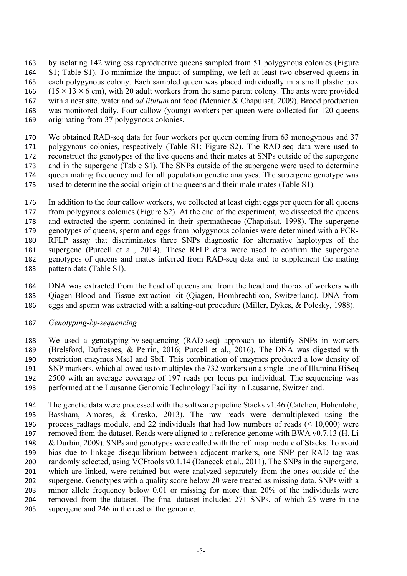by isolating 142 wingless reproductive queens sampled from 51 polygynous colonies (Figure S1; Table S1). To minimize the impact of sampling, we left at least two observed queens in each polygynous colony. Each sampled queen was placed individually in a small plastic box  $(15 \times 13 \times 6 \text{ cm})$ , with 20 adult workers from the same parent colony. The ants were provided with a nest site, water and *ad libitum* ant food (Meunier & Chapuisat, 2009). Brood production was monitored daily. Four callow (young) workers per queen were collected for 120 queens originating from 37 polygynous colonies.

 We obtained RAD-seq data for four workers per queen coming from 63 monogynous and 37 polygynous colonies, respectively (Table S1; Figure S2). The RAD-seq data were used to reconstruct the genotypes of the live queens and their mates at SNPs outside of the supergene and in the supergene (Table S1). The SNPs outside of the supergene were used to determine queen mating frequency and for all population genetic analyses. The supergene genotype was used to determine the social origin of the queens and their male mates (Table S1).

 In addition to the four callow workers, we collected at least eight eggs per queen for all queens from polygynous colonies (Figure S2). At the end of the experiment, we dissected the queens and extracted the sperm contained in their spermathecae (Chapuisat, 1998). The supergene genotypes of queens, sperm and eggs from polygynous colonies were determined with a PCR- RFLP assay that discriminates three SNPs diagnostic for alternative haplotypes of the supergene (Purcell et al., 2014). These RFLP data were used to confirm the supergene genotypes of queens and mates inferred from RAD-seq data and to supplement the mating pattern data (Table S1).

 DNA was extracted from the head of queens and from the head and thorax of workers with Qiagen Blood and Tissue extraction kit (Qiagen, Hombrechtikon, Switzerland). DNA from eggs and sperm was extracted with a salting-out procedure (Miller, Dykes, & Polesky, 1988).

#### *Genotyping-by-sequencing*

 We used a genotyping-by-sequencing (RAD-seq) approach to identify SNPs in workers (Brelsford, Dufresnes, & Perrin, 2016; Purcell et al., 2016). The DNA was digested with restriction enzymes MseI and SbfI. This combination of enzymes produced a low density of SNP markers, which allowed us to multiplex the 732 workers on a single lane of Illumina HiSeq 2500 with an average coverage of 197 reads per locus per individual. The sequencing was performed at the Lausanne Genomic Technology Facility in Lausanne, Switzerland.

 The genetic data were processed with the software pipeline Stacks v1.46 (Catchen, Hohenlohe, Bassham, Amores, & Cresko, 2013). The raw reads were demultiplexed using the 196 process radtags module, and 22 individuals that had low numbers of reads  $(< 10,000)$  were removed from the dataset. Reads were aligned to a reference genome with BWA v0.7.13 (H. Li 198 & Durbin, 2009). SNPs and genotypes were called with the ref map module of Stacks. To avoid bias due to linkage disequilibrium between adjacent markers, one SNP per RAD tag was randomly selected, using VCFtools v0.1.14 (Danecek et al., 2011). The SNPs in the supergene, which are linked, were retained but were analyzed separately from the ones outside of the supergene. Genotypes with a quality score below 20 were treated as missing data. SNPs with a minor allele frequency below 0.01 or missing for more than 20% of the individuals were removed from the dataset. The final dataset included 271 SNPs, of which 25 were in the supergene and 246 in the rest of the genome.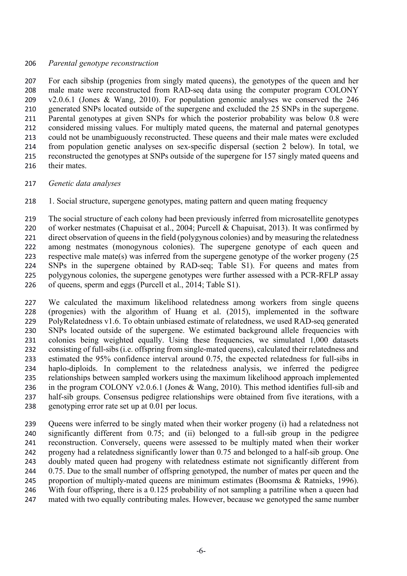#### *Parental genotype reconstruction*

 For each sibship (progenies from singly mated queens), the genotypes of the queen and her male mate were reconstructed from RAD-seq data using the computer program COLONY v2.0.6.1 (Jones & Wang, 2010). For population genomic analyses we conserved the 246 generated SNPs located outside of the supergene and excluded the 25 SNPs in the supergene. Parental genotypes at given SNPs for which the posterior probability was below 0.8 were considered missing values. For multiply mated queens, the maternal and paternal genotypes could not be unambiguously reconstructed. These queens and their male mates were excluded from population genetic analyses on sex-specific dispersal (section 2 below). In total, we reconstructed the genotypes at SNPs outside of the supergene for 157 singly mated queens and 216 their mates

*Genetic data analyses*

1. Social structure, supergene genotypes, mating pattern and queen mating frequency

 The social structure of each colony had been previously inferred from microsatellite genotypes of worker nestmates (Chapuisat et al., 2004; Purcell & Chapuisat, 2013). It was confirmed by direct observation of queens in the field (polygynous colonies) and by measuring the relatedness among nestmates (monogynous colonies). The supergene genotype of each queen and respective male mate(s) was inferred from the supergene genotype of the worker progeny (25 SNPs in the supergene obtained by RAD-seq; Table S1). For queens and mates from polygynous colonies, the supergene genotypes were further assessed with a PCR-RFLP assay of queens, sperm and eggs (Purcell et al., 2014; Table S1).

 We calculated the maximum likelihood relatedness among workers from single queens (progenies) with the algorithm of Huang et al. (2015), implemented in the software PolyRelatedness v1.6. To obtain unbiased estimate of relatedness, we used RAD-seq generated SNPs located outside of the supergene. We estimated background allele frequencies with colonies being weighted equally. Using these frequencies, we simulated 1,000 datasets consisting of full-sibs(i.e. offspring from single-mated queens), calculated their relatedness and estimated the 95% confidence interval around 0.75, the expected relatedness for full-sibs in haplo-diploids. In complement to the relatedness analysis, we inferred the pedigree relationships between sampled workers using the maximum likelihood approach implemented in the program COLONY v2.0.6.1 (Jones & Wang, 2010). This method identifies full-sib and half-sib groups. Consensus pedigree relationships were obtained from five iterations, with a genotyping error rate set up at 0.01 per locus.

 Queens were inferred to be singly mated when their worker progeny (i) had a relatedness not significantly different from 0.75; and (ii) belonged to a full-sib group in the pedigree reconstruction. Conversely, queens were assessed to be multiply mated when their worker progeny had a relatedness significantly lower than 0.75 and belonged to a half-sib group. One doubly mated queen had progeny with relatedness estimate not significantly different from 244 0.75. Due to the small number of offspring genotyped, the number of mates per queen and the proportion of multiply-mated queens are minimum estimates (Boomsma & Ratnieks, 1996). With four offspring, there is a 0.125 probability of not sampling a patriline when a queen had mated with two equally contributing males. However, because we genotyped the same number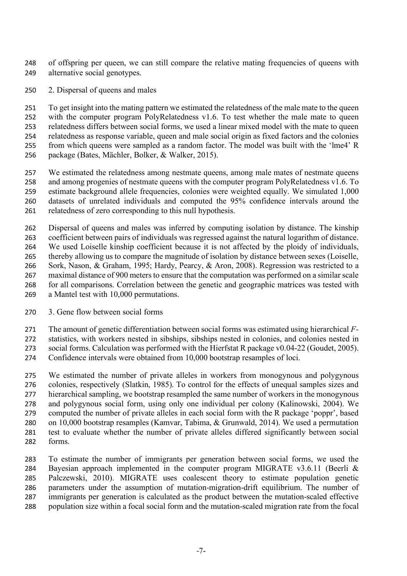of offspring per queen, we can still compare the relative mating frequencies of queens with alternative social genotypes.

2. Dispersal of queens and males

 To get insight into the mating pattern we estimated the relatedness of the male mate to the queen with the computer program PolyRelatedness v1.6. To test whether the male mate to queen relatedness differs between social forms, we used a linear mixed model with the mate to queen relatedness as response variable, queen and male social origin as fixed factors and the colonies from which queens were sampled as a random factor. The model was built with the 'lme4' R package (Bates, Mächler, Bolker, & Walker, 2015).

 We estimated the relatedness among nestmate queens, among male mates of nestmate queens and among progenies of nestmate queens with the computer program PolyRelatedness v1.6. To estimate background allele frequencies, colonies were weighted equally. We simulated 1,000 datasets of unrelated individuals and computed the 95% confidence intervals around the relatedness of zero corresponding to this null hypothesis.

 Dispersal of queens and males was inferred by computing isolation by distance. The kinship coefficient between pairs of individuals was regressed against the natural logarithm of distance. We used Loiselle kinship coefficient because it is not affected by the ploidy of individuals, thereby allowing us to compare the magnitude of isolation by distance between sexes (Loiselle, Sork, Nason, & Graham, 1995; Hardy, Pearcy, & Aron, 2008). Regression was restricted to a maximal distance of 900 meters to ensure that the computation was performed on a similar scale for all comparisons. Correlation between the genetic and geographic matrices was tested with a Mantel test with 10,000 permutations.

3. Gene flow between social forms

The amount of genetic differentiation between social forms was estimated using hierarchical *F-*

statistics, with workers nested in sibships, sibships nested in colonies, and colonies nested in

social forms. Calculation was performed with the Hierfstat R package v0.04-22 (Goudet, 2005).

Confidence intervals were obtained from 10,000 bootstrap resamples of loci.

 We estimated the number of private alleles in workers from monogynous and polygynous colonies, respectively (Slatkin, 1985). To control for the effects of unequal samples sizes and hierarchical sampling, we bootstrap resampled the same number of workers in the monogynous and polygynous social form, using only one individual per colony (Kalinowski, 2004). We computed the number of private alleles in each social form with the R package 'poppr', based on 10,000 bootstrap resamples (Kamvar, Tabima, & Grunwald, 2014). We used a permutation test to evaluate whether the number of private alleles differed significantly between social forms.

 To estimate the number of immigrants per generation between social forms, we used the Bayesian approach implemented in the computer program MIGRATE v3.6.11 (Beerli & Palczewski, 2010). MIGRATE uses coalescent theory to estimate population genetic parameters under the assumption of mutation-migration-drift equilibrium. The number of immigrants per generation is calculated as the product between the mutation-scaled effective population size within a focal social form and the mutation-scaled migration rate from the focal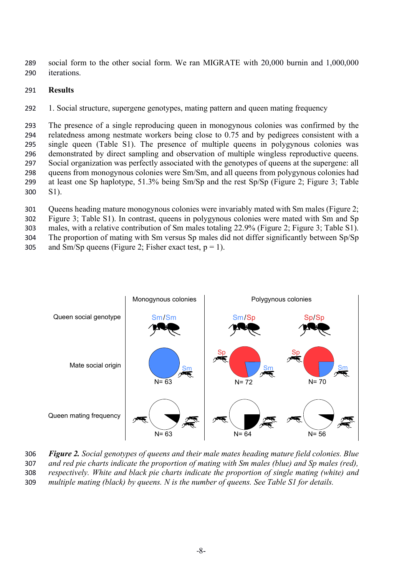289 social form to the other social form. We ran MIGRATE with 20,000 burnin and 1,000,000 290 iterations.

#### 291 **Results**

292 1. Social structure, supergene genotypes, mating pattern and queen mating frequency

 The presence of a single reproducing queen in monogynous colonies was confirmed by the relatedness among nestmate workers being close to 0.75 and by pedigrees consistent with a single queen (Table S1). The presence of multiple queens in polygynous colonies was demonstrated by direct sampling and observation of multiple wingless reproductive queens. Social organization was perfectly associated with the genotypes of queens at the supergene: all queens from monogynous colonies were Sm/Sm, and all queens from polygynous colonies had at least one Sp haplotype, 51.3% being Sm/Sp and the rest Sp/Sp (Figure 2; Figure 3; Table 300 S1).

 Queens heading mature monogynous colonies were invariably mated with Sm males (Figure 2; Figure 3; Table S1). In contrast, queens in polygynous colonies were mated with Sm and Sp males, with a relative contribution of Sm males totaling 22.9% (Figure 2; Figure 3; Table S1). The proportion of mating with Sm versus Sp males did not differ significantly between Sp/Sp 305 and Sm/Sp queens (Figure 2; Fisher exact test,  $p = 1$ ).



 *Figure 2. Social genotypes of queens and their male mates heading mature field colonies. Blue and red pie charts indicate the proportion of mating with Sm males (blue) and Sp males (red), respectively. White and black pie charts indicate the proportion of single mating (white) and multiple mating (black) by queens. N is the number of queens. See Table S1 for details.*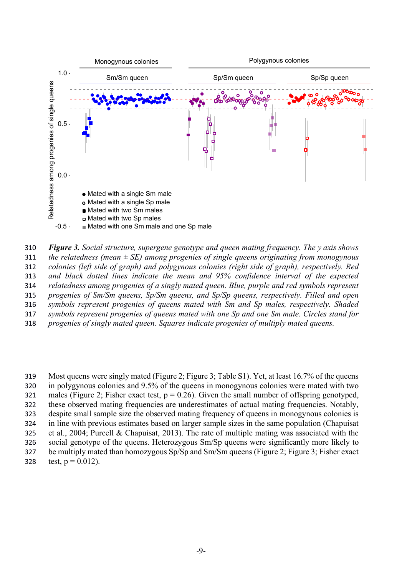



 Most queens were singly mated (Figure 2; Figure 3; Table S1). Yet, at least 16.7% of the queens in polygynous colonies and 9.5% of the queens in monogynous colonies were mated with two 321 males (Figure 2; Fisher exact test,  $p = 0.26$ ). Given the small number of offspring genotyped, these observed mating frequencies are underestimates of actual mating frequencies. Notably, despite small sample size the observed mating frequency of queens in monogynous colonies is in line with previous estimates based on larger sample sizes in the same population (Chapuisat et al., 2004; Purcell & Chapuisat, 2013). The rate of multiple mating was associated with the social genotype of the queens. Heterozygous Sm/Sp queens were significantly more likely to 327 be multiply mated than homozygous Sp/Sp and Sm/Sm queens (Figure 2; Figure 3; Fisher exact 328 test,  $p = 0.012$ ).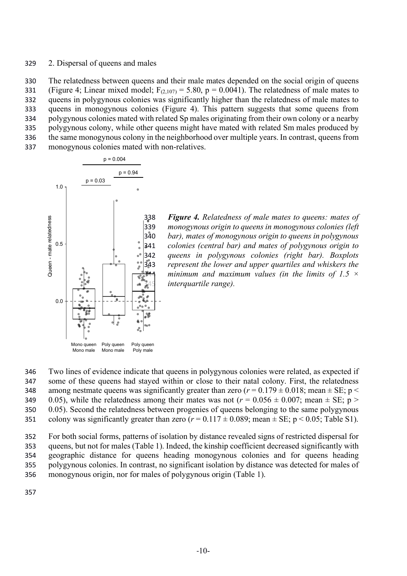#### 329 2. Dispersal of queens and males

 The relatedness between queens and their male mates depended on the social origin of queens 331 (Figure 4; Linear mixed model;  $F_{(2,107)} = 5.80$ , p = 0.0041). The relatedness of male mates to queens in polygynous colonies was significantly higher than the relatedness of male mates to queens in monogynous colonies (Figure 4). This pattern suggests that some queens from polygynous colonies mated with related Sp males originating from their own colony or a nearby polygynous colony, while other queens might have mated with related Sm males produced by the same monogynous colony in the neighborhood over multiple years. In contrast, queens from monogynous colonies mated with non-relatives.



338 *Figure 4. Relatedness of male mates to queens: mates of*  339 *monogynous origin to queens in monogynous colonies (left*  340 *bar), mates of monogynous origin to queens in polygynous*  341 *colonies (central bar) and mates of polygynous origin to*  342 *queens in polygynous colonies (right bar). Boxplots*  343 *represent the lower and upper quartiles and whiskers the*  minimum and maximum values (in the limits of 1.5  $\times$ *interquartile range).* 

346 Two lines of evidence indicate that queens in polygynous colonies were related, as expected if 347 some of these queens had stayed within or close to their natal colony. First, the relatedness 348 among nestmate queens was significantly greater than zero  $(r = 0.179 \pm 0.018)$ ; mean  $\pm$  SE; p < 349 0.05), while the relatedness among their mates was not  $(r = 0.056 \pm 0.007)$ ; mean  $\pm$  SE; p > 350 0.05). Second the relatedness between progenies of queens belonging to the same polygynous 351 colony was significantly greater than zero  $(r = 0.117 \pm 0.089)$ ; mean  $\pm$  SE; p < 0.05; Table S1).

 For both social forms, patterns of isolation by distance revealed signs of restricted dispersal for queens, but not for males (Table 1). Indeed, the kinship coefficient decreased significantly with geographic distance for queens heading monogynous colonies and for queens heading polygynous colonies. In contrast, no significant isolation by distance was detected for males of monogynous origin, nor for males of polygynous origin (Table 1).

357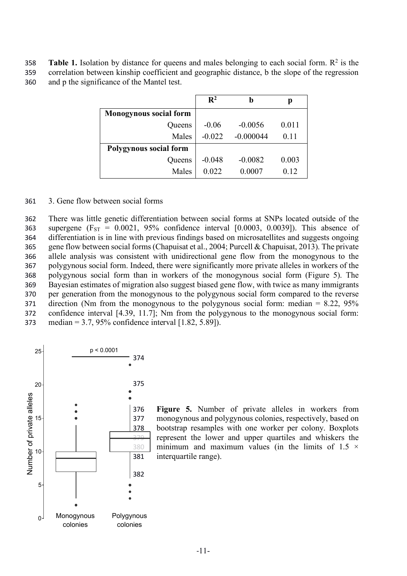**Table 1.** Isolation by distance for queens and males belonging to each social form.  $\mathbb{R}^2$  is the 359 correlation between kinship coefficient and geographic distance, b the slope of the regression 360 and p the significance of the Mantel test.

|                               | $\mathbf{R}^2$ | b           | р     |
|-------------------------------|----------------|-------------|-------|
| <b>Monogynous social form</b> |                |             |       |
| Queens                        | $-0.06$        | $-0.0056$   | 0.011 |
| Males                         | $-0.022$       | $-0.000044$ | 0.11  |
| Polygynous social form        |                |             |       |
| Queens                        | $-0.048$       | $-0.0082$   | 0.003 |
| Males                         | 0.022          | 0.0007      | 0.12  |

361 3. Gene flow between social forms

 There was little genetic differentiation between social forms at SNPs located outside of the 363 supergene ( $F_{ST} = 0.0021$ , 95% confidence interval [0.0003, 0.0039]). This absence of differentiation is in line with previous findings based on microsatellites and suggests ongoing gene flow between social forms(Chapuisat et al., 2004; Purcell & Chapuisat, 2013). The private allele analysis was consistent with unidirectional gene flow from the monogynous to the polygynous social form. Indeed, there were significantly more private alleles in workers of the polygynous social form than in workers of the monogynous social form (Figure 5). The Bayesian estimates of migration also suggest biased gene flow, with twice as many immigrants per generation from the monogynous to the polygynous social form compared to the reverse direction (Nm from the monogynous to the polygynous social form: median = 8.22, 95% confidence interval [4.39, 11.7]; Nm from the polygynous to the monogynous social form: median = 3.7, 95% confidence interval [1.82, 5.89]).



 **Figure 5.** Number of private alleles in workers from monogynous and polygynous colonies, respectively, based on bootstrap resamples with one worker per colony. Boxplots represent the lower and upper quartiles and whiskers the 380 minimum and maximum values (in the limits of 1.5  $\times$ interquartile range).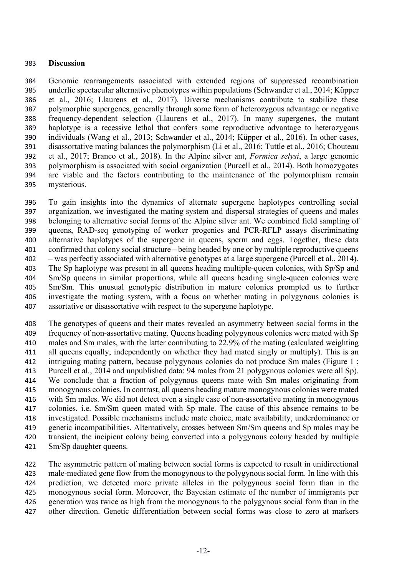#### **Discussion**

 Genomic rearrangements associated with extended regions of suppressed recombination underlie spectacular alternative phenotypes within populations (Schwander et al., 2014; Küpper et al., 2016; Llaurens et al., 2017). Diverse mechanisms contribute to stabilize these polymorphic supergenes, generally through some form of heterozygous advantage or negative frequency-dependent selection (Llaurens et al., 2017). In many supergenes, the mutant haplotype is a recessive lethal that confers some reproductive advantage to heterozygous individuals (Wang et al., 2013; Schwander et al., 2014; Küpper et al., 2016). In other cases, disassortative mating balances the polymorphism (Li et al., 2016; Tuttle et al., 2016; Chouteau et al., 2017; Branco et al., 2018). In the Alpine silver ant, *Formica selysi*, a large genomic polymorphism is associated with social organization (Purcell et al., 2014). Both homozygotes are viable and the factors contributing to the maintenance of the polymorphism remain mysterious.

 To gain insights into the dynamics of alternate supergene haplotypes controlling social organization, we investigated the mating system and dispersal strategies of queens and males belonging to alternative social forms of the Alpine silver ant. We combined field sampling of queens, RAD-seq genotyping of worker progenies and PCR-RFLP assays discriminating alternative haplotypes of the supergene in queens, sperm and eggs. Together, these data confirmed that colony social structure – being headed by one or by multiple reproductive queens – was perfectly associated with alternative genotypes at a large supergene (Purcell et al., 2014). The Sp haplotype was present in all queens heading multiple-queen colonies, with Sp/Sp and Sm/Sp queens in similar proportions, while all queens heading single-queen colonies were Sm/Sm. This unusual genotypic distribution in mature colonies prompted us to further investigate the mating system, with a focus on whether mating in polygynous colonies is assortative or disassortative with respect to the supergene haplotype.

 The genotypes of queens and their mates revealed an asymmetry between social forms in the frequency of non-assortative mating. Queens heading polygynous colonies were mated with Sp males and Sm males, with the latter contributing to 22.9% of the mating (calculated weighting 411 all queens equally, independently on whether they had mated singly or multiply). This is an intriguing mating pattern, because polygynous colonies do not produce Sm males (Figure 1 ; Purcell et al., 2014 and unpublished data: 94 males from 21 polygynous colonies were all Sp). We conclude that a fraction of polygynous queens mate with Sm males originating from monogynous colonies. In contrast, all queens heading mature monogynous colonies were mated with Sm males. We did not detect even a single case of non-assortative mating in monogynous colonies, i.e. Sm/Sm queen mated with Sp male. The cause of this absence remains to be investigated. Possible mechanisms include mate choice, mate availability, underdominance or genetic incompatibilities. Alternatively, crosses between Sm/Sm queens and Sp males may be transient, the incipient colony being converted into a polygynous colony headed by multiple Sm/Sp daughter queens.

 The asymmetric pattern of mating between social forms is expected to result in unidirectional male-mediated gene flow from the monogynous to the polygynous social form. In line with this prediction, we detected more private alleles in the polygynous social form than in the monogynous social form. Moreover, the Bayesian estimate of the number of immigrants per generation was twice as high from the monogynous to the polygynous social form than in the other direction. Genetic differentiation between social forms was close to zero at markers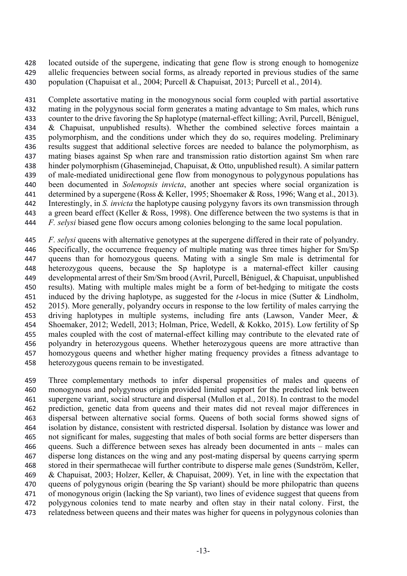located outside of the supergene, indicating that gene flow is strong enough to homogenize allelic frequencies between social forms, as already reported in previous studies of the same population (Chapuisat et al., 2004; Purcell & Chapuisat, 2013; Purcell et al., 2014).

 Complete assortative mating in the monogynous social form coupled with partial assortative mating in the polygynous social form generates a mating advantage to Sm males, which runs counter to the drive favoring the Sp haplotype (maternal-effect killing; Avril, Purcell, Béniguel, & Chapuisat, unpublished results). Whether the combined selective forces maintain a polymorphism, and the conditions under which they do so, requires modeling. Preliminary results suggest that additional selective forces are needed to balance the polymorphism, as mating biases against Sp when rare and transmission ratio distortion against Sm when rare hinder polymorphism (Ghaseminejad, Chapuisat, & Otto, unpublished result). A similar pattern of male-mediated unidirectional gene flow from monogynous to polygynous populations has been documented in *Solenopsis invicta*, another ant species where social organization is determined by a supergene (Ross & Keller, 1995; Shoemaker & Ross, 1996; Wang et al., 2013). Interestingly, in *S. invicta* the haplotype causing polygyny favors its own transmission through a green beard effect (Keller & Ross, 1998). One difference between the two systems is that in *F. selysi* biased gene flow occurs among colonies belonging to the same local population.

 *F. selysi* queens with alternative genotypes at the supergene differed in their rate of polyandry. Specifically, the occurrence frequency of multiple mating was three times higher for Sm/Sp queens than for homozygous queens. Mating with a single Sm male is detrimental for heterozygous queens, because the Sp haplotype is a maternal-effect killer causing developmental arrest of their Sm/Sm brood (Avril, Purcell, Béniguel, & Chapuisat, unpublished results). Mating with multiple males might be a form of bet-hedging to mitigate the costs induced by the driving haplotype, as suggested for the *t*-locus in mice (Sutter & Lindholm, 2015). More generally, polyandry occurs in response to the low fertility of males carrying the driving haplotypes in multiple systems, including fire ants (Lawson, Vander Meer, & Shoemaker, 2012; Wedell, 2013; Holman, Price, Wedell, & Kokko, 2015). Low fertility of Sp males coupled with the cost of maternal-effect killing may contribute to the elevated rate of polyandry in heterozygous queens. Whether heterozygous queens are more attractive than homozygous queens and whether higher mating frequency provides a fitness advantage to heterozygous queens remain to be investigated.

 Three complementary methods to infer dispersal propensities of males and queens of monogynous and polygynous origin provided limited support for the predicted link between supergene variant, social structure and dispersal (Mullon et al., 2018). In contrast to the model prediction, genetic data from queens and their mates did not reveal major differences in dispersal between alternative social forms. Queens of both social forms showed signs of isolation by distance, consistent with restricted dispersal. Isolation by distance was lower and not significant for males, suggesting that males of both social forms are better dispersers than queens. Such a difference between sexes has already been documented in ants – males can disperse long distances on the wing and any post-mating dispersal by queens carrying sperm stored in their spermathecae will further contribute to disperse male genes (Sundström, Keller, & Chapuisat, 2003; Holzer, Keller, & Chapuisat, 2009). Yet, in line with the expectation that queens of polygynous origin (bearing the Sp variant) should be more philopatric than queens of monogynous origin (lacking the Sp variant), two lines of evidence suggest that queens from polygynous colonies tend to mate nearby and often stay in their natal colony. First, the relatedness between queens and their mates was higher for queens in polygynous colonies than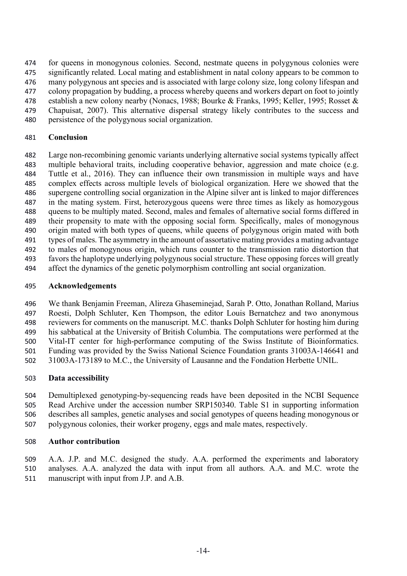for queens in monogynous colonies. Second, nestmate queens in polygynous colonies were significantly related. Local mating and establishment in natal colony appears to be common to many polygynous ant species and is associated with large colony size, long colony lifespan and colony propagation by budding, a process whereby queens and workers depart on foot to jointly 478 establish a new colony nearby (Nonacs, 1988; Bourke & Franks, 1995; Keller, 1995; Rosset & Chapuisat, 2007). This alternative dispersal strategy likely contributes to the success and

persistence of the polygynous social organization.

#### **Conclusion**

 Large non-recombining genomic variants underlying alternative social systems typically affect multiple behavioral traits, including cooperative behavior, aggression and mate choice (e.g. Tuttle et al., 2016). They can influence their own transmission in multiple ways and have complex effects across multiple levels of biological organization. Here we showed that the supergene controlling social organization in the Alpine silver ant is linked to major differences in the mating system. First, heterozygous queens were three times as likely as homozygous queens to be multiply mated. Second, males and females of alternative social forms differed in their propensity to mate with the opposing social form. Specifically, males of monogynous origin mated with both types of queens, while queens of polygynous origin mated with both types of males. The asymmetry in the amount of assortative mating provides a mating advantage to males of monogynous origin, which runs counter to the transmission ratio distortion that favors the haplotype underlying polygynous social structure. These opposing forces will greatly affect the dynamics of the genetic polymorphism controlling ant social organization.

#### **Acknowledgements**

 We thank Benjamin Freeman, Alireza Ghaseminejad, Sarah P. Otto, Jonathan Rolland, Marius Roesti, Dolph Schluter, Ken Thompson, the editor Louis Bernatchez and two anonymous reviewers for comments on the manuscript. M.C. thanks Dolph Schluter for hosting him during his sabbatical at the University of British Columbia. The computations were performed at the Vital-IT center for high-performance computing of the Swiss Institute of Bioinformatics. Funding was provided by the Swiss National Science Foundation grants 31003A-146641 and 31003A-173189 to M.C., the University of Lausanne and the Fondation Herbette UNIL.

#### **Data accessibility**

 Demultiplexed genotyping-by-sequencing reads have been deposited in the NCBI Sequence Read Archive under the accession number SRP150340. Table S1 in supporting information describes all samples, genetic analyses and social genotypes of queens heading monogynous or polygynous colonies, their worker progeny, eggs and male mates, respectively.

#### **Author contribution**

 A.A. J.P. and M.C. designed the study. A.A. performed the experiments and laboratory analyses. A.A. analyzed the data with input from all authors. A.A. and M.C. wrote the manuscript with input from J.P. and A.B.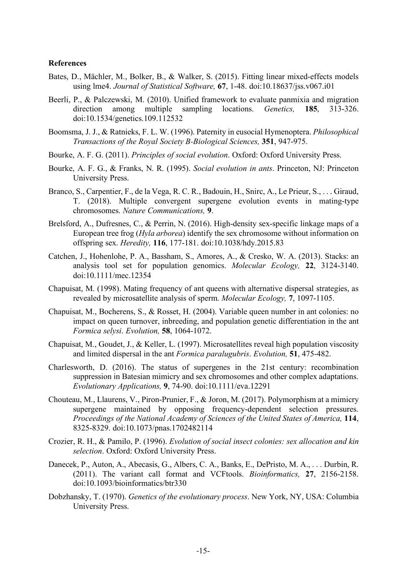#### **References**

- Bates, D., Mächler, M., Bolker, B., & Walker, S. (2015). Fitting linear mixed-effects models using lme4. *Journal of Statistical Software,* **67**, 1-48. doi:10.18637/jss.v067.i01
- Beerli, P., & Palczewski, M. (2010). Unified framework to evaluate panmixia and migration direction among multiple sampling locations. *Genetics,* **185**, 313-326. doi:10.1534/genetics.109.112532
- Boomsma, J. J., & Ratnieks, F. L. W. (1996). Paternity in eusocial Hymenoptera. *Philosophical Transactions of the Royal Society B-Biological Sciences,* **351**, 947-975.
- Bourke, A. F. G. (2011). *Principles of social evolution*. Oxford: Oxford University Press.
- Bourke, A. F. G., & Franks, N. R. (1995). *Social evolution in ants*. Princeton, NJ: Princeton University Press.
- Branco, S., Carpentier, F., de la Vega, R. C. R., Badouin, H., Snirc, A., Le Prieur, S., . . . Giraud, T. (2018). Multiple convergent supergene evolution events in mating-type chromosomes. *Nature Communications,* **9**.
- Brelsford, A., Dufresnes, C., & Perrin, N. (2016). High-density sex-specific linkage maps of a European tree frog (*Hyla arborea*) identify the sex chromosome without information on offspring sex. *Heredity,* **116**, 177-181. doi:10.1038/hdy.2015.83
- Catchen, J., Hohenlohe, P. A., Bassham, S., Amores, A., & Cresko, W. A. (2013). Stacks: an analysis tool set for population genomics. *Molecular Ecology,* **22**, 3124-3140. doi:10.1111/mec.12354
- Chapuisat, M. (1998). Mating frequency of ant queens with alternative dispersal strategies, as revealed by microsatellite analysis of sperm. *Molecular Ecology,* **7**, 1097-1105.
- Chapuisat, M., Bocherens, S., & Rosset, H. (2004). Variable queen number in ant colonies: no impact on queen turnover, inbreeding, and population genetic differentiation in the ant *Formica selysi*. *Evolution,* **58**, 1064-1072.
- Chapuisat, M., Goudet, J., & Keller, L. (1997). Microsatellites reveal high population viscosity and limited dispersal in the ant *Formica paralugubris*. *Evolution,* **51**, 475-482.
- Charlesworth, D. (2016). The status of supergenes in the 21st century: recombination suppression in Batesian mimicry and sex chromosomes and other complex adaptations. *Evolutionary Applications,* **9**, 74-90. doi:10.1111/eva.12291
- Chouteau, M., Llaurens, V., Piron-Prunier, F., & Joron, M. (2017). Polymorphism at a mimicry supergene maintained by opposing frequency-dependent selection pressures. *Proceedings of the National Academy of Sciences of the United States of America,* **114**, 8325-8329. doi:10.1073/pnas.1702482114
- Crozier, R. H., & Pamilo, P. (1996). *Evolution of social insect colonies: sex allocation and kin selection*. Oxford: Oxford University Press.
- Danecek, P., Auton, A., Abecasis, G., Albers, C. A., Banks, E., DePristo, M. A., . . . Durbin, R. (2011). The variant call format and VCFtools. *Bioinformatics,* **27**, 2156-2158. doi:10.1093/bioinformatics/btr330
- Dobzhansky, T. (1970). *Genetics of the evolutionary process*. New York, NY, USA: Columbia University Press.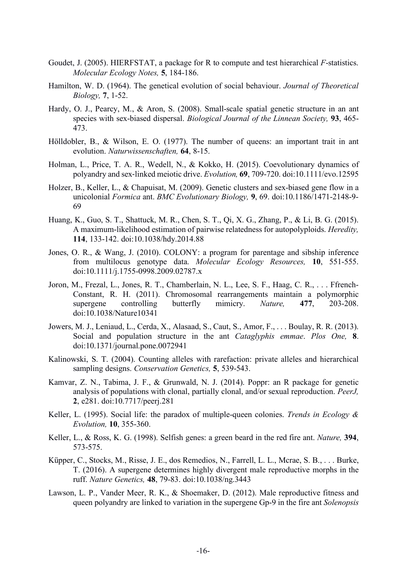- Goudet, J. (2005). HIERFSTAT, a package for R to compute and test hierarchical *F*-statistics. *Molecular Ecology Notes,* **5**, 184-186.
- Hamilton, W. D. (1964). The genetical evolution of social behaviour. *Journal of Theoretical Biology,* **7**, 1-52.
- Hardy, O. J., Pearcy, M., & Aron, S. (2008). Small-scale spatial genetic structure in an ant species with sex-biased dispersal. *Biological Journal of the Linnean Society,* **93**, 465- 473.
- Hölldobler, B., & Wilson, E. O. (1977). The number of queens: an important trait in ant evolution. *Naturwissenschaften,* **64**, 8-15.
- Holman, L., Price, T. A. R., Wedell, N., & Kokko, H. (2015). Coevolutionary dynamics of polyandry and sex-linked meiotic drive. *Evolution,* **69**, 709-720. doi:10.1111/evo.12595
- Holzer, B., Keller, L., & Chapuisat, M. (2009). Genetic clusters and sex-biased gene flow in a unicolonial *Formica* ant. *BMC Evolutionary Biology,* **9**, 69. doi:10.1186/1471-2148-9- 69
- Huang, K., Guo, S. T., Shattuck, M. R., Chen, S. T., Qi, X. G., Zhang, P., & Li, B. G. (2015). A maximum-likelihood estimation of pairwise relatedness for autopolyploids. *Heredity,*  **114**, 133-142. doi:10.1038/hdy.2014.88
- Jones, O. R., & Wang, J. (2010). COLONY: a program for parentage and sibship inference from multilocus genotype data. *Molecular Ecology Resources,* **10**, 551-555. doi:10.1111/j.1755-0998.2009.02787.x
- Joron, M., Frezal, L., Jones, R. T., Chamberlain, N. L., Lee, S. F., Haag, C. R., . . . Ffrench-Constant, R. H. (2011). Chromosomal rearrangements maintain a polymorphic supergene controlling butterfly mimicry. *Nature,* **477**, 203-208. doi:10.1038/Nature10341
- Jowers, M. J., Leniaud, L., Cerda, X., Alasaad, S., Caut, S., Amor, F., . . . Boulay, R. R. (2013). Social and population structure in the ant *Cataglyphis emmae*. *Plos One,* **8**. doi:10.1371/journal.pone.0072941
- Kalinowski, S. T. (2004). Counting alleles with rarefaction: private alleles and hierarchical sampling designs. *Conservation Genetics,* **5**, 539-543.
- Kamvar, Z. N., Tabima, J. F., & Grunwald, N. J. (2014). Poppr: an R package for genetic analysis of populations with clonal, partially clonal, and/or sexual reproduction. *PeerJ,*  **2**, e281. doi:10.7717/peerj.281
- Keller, L. (1995). Social life: the paradox of multiple-queen colonies. *Trends in Ecology & Evolution,* **10**, 355-360.
- Keller, L., & Ross, K. G. (1998). Selfish genes: a green beard in the red fire ant. *Nature,* **394**, 573-575.
- Küpper, C., Stocks, M., Risse, J. E., dos Remedios, N., Farrell, L. L., Mcrae, S. B., . . . Burke, T. (2016). A supergene determines highly divergent male reproductive morphs in the ruff. *Nature Genetics,* **48**, 79-83. doi:10.1038/ng.3443
- Lawson, L. P., Vander Meer, R. K., & Shoemaker, D. (2012). Male reproductive fitness and queen polyandry are linked to variation in the supergene Gp-9 in the fire ant *Solenopsis*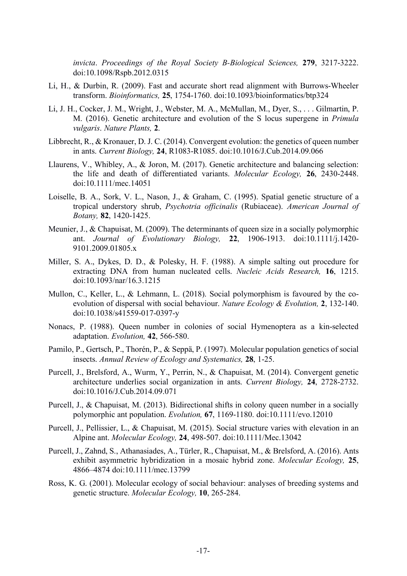*invicta*. *Proceedings of the Royal Society B-Biological Sciences,* **279**, 3217-3222. doi:10.1098/Rspb.2012.0315

- Li, H., & Durbin, R. (2009). Fast and accurate short read alignment with Burrows-Wheeler transform. *Bioinformatics,* **25**, 1754-1760. doi:10.1093/bioinformatics/btp324
- Li, J. H., Cocker, J. M., Wright, J., Webster, M. A., McMullan, M., Dyer, S., . . . Gilmartin, P. M. (2016). Genetic architecture and evolution of the S locus supergene in *Primula vulgaris*. *Nature Plants,* **2**.
- Libbrecht, R., & Kronauer, D. J. C. (2014). Convergent evolution: the genetics of queen number in ants. *Current Biology,* **24**, R1083-R1085. doi:10.1016/J.Cub.2014.09.066
- Llaurens, V., Whibley, A., & Joron, M. (2017). Genetic architecture and balancing selection: the life and death of differentiated variants. *Molecular Ecology,* **26**, 2430-2448. doi:10.1111/mec.14051
- Loiselle, B. A., Sork, V. L., Nason, J., & Graham, C. (1995). Spatial genetic structure of a tropical understory shrub, *Psychotria officinalis* (Rubiaceae). *American Journal of Botany,* **82**, 1420-1425.
- Meunier, J., & Chapuisat, M. (2009). The determinants of queen size in a socially polymorphic ant. *Journal of Evolutionary Biology,* **22**, 1906-1913. doi:10.1111/j.1420- 9101.2009.01805.x
- Miller, S. A., Dykes, D. D., & Polesky, H. F. (1988). A simple salting out procedure for extracting DNA from human nucleated cells. *Nucleic Acids Research,* **16**, 1215. doi:10.1093/nar/16.3.1215
- Mullon, C., Keller, L., & Lehmann, L. (2018). Social polymorphism is favoured by the coevolution of dispersal with social behaviour. *Nature Ecology & Evolution,* **2**, 132-140. doi:10.1038/s41559-017-0397-y
- Nonacs, P. (1988). Queen number in colonies of social Hymenoptera as a kin-selected adaptation. *Evolution,* **42**, 566-580.
- Pamilo, P., Gertsch, P., Thorén, P., & Seppä, P. (1997). Molecular population genetics of social insects. *Annual Review of Ecology and Systematics,* **28**, 1-25.
- Purcell, J., Brelsford, A., Wurm, Y., Perrin, N., & Chapuisat, M. (2014). Convergent genetic architecture underlies social organization in ants. *Current Biology,* **24**, 2728-2732. doi:10.1016/J.Cub.2014.09.071
- Purcell, J., & Chapuisat, M. (2013). Bidirectional shifts in colony queen number in a socially polymorphic ant population. *Evolution,* **67**, 1169-1180. doi:10.1111/evo.12010
- Purcell, J., Pellissier, L., & Chapuisat, M. (2015). Social structure varies with elevation in an Alpine ant. *Molecular Ecology,* **24**, 498-507. doi:10.1111/Mec.13042
- Purcell, J., Zahnd, S., Athanasiades, A., Türler, R., Chapuisat, M., & Brelsford, A. (2016). Ants exhibit asymmetric hybridization in a mosaic hybrid zone. *Molecular Ecology,* **25**, 4866–4874 doi:10.1111/mec.13799
- Ross, K. G. (2001). Molecular ecology of social behaviour: analyses of breeding systems and genetic structure. *Molecular Ecology,* **10**, 265-284.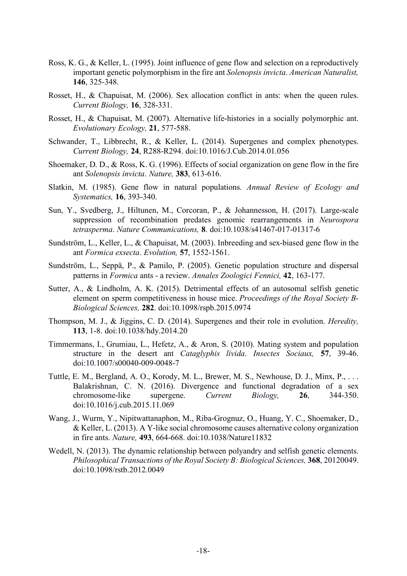- Ross, K. G., & Keller, L. (1995). Joint influence of gene flow and selection on a reproductively important genetic polymorphism in the fire ant *Solenopsis invicta*. *American Naturalist,*  **146**, 325-348.
- Rosset, H., & Chapuisat, M. (2006). Sex allocation conflict in ants: when the queen rules. *Current Biology,* **16**, 328-331.
- Rosset, H., & Chapuisat, M. (2007). Alternative life-histories in a socially polymorphic ant. *Evolutionary Ecology,* **21**, 577-588.
- Schwander, T., Libbrecht, R., & Keller, L. (2014). Supergenes and complex phenotypes. *Current Biology,* **24**, R288-R294. doi:10.1016/J.Cub.2014.01.056
- Shoemaker, D. D., & Ross, K. G. (1996). Effects of social organization on gene flow in the fire ant *Solenopsis invicta*. *Nature,* **383**, 613-616.
- Slatkin, M. (1985). Gene flow in natural populations. *Annual Review of Ecology and Systematics,* **16**, 393-340.
- Sun, Y., Svedberg, J., Hiltunen, M., Corcoran, P., & Johannesson, H. (2017). Large-scale suppression of recombination predates genomic rearrangements in *Neurospora tetrasperma*. *Nature Communications,* **8**. doi:10.1038/s41467-017-01317-6
- Sundström, L., Keller, L., & Chapuisat, M. (2003). Inbreeding and sex-biased gene flow in the ant *Formica exsecta*. *Evolution,* **57**, 1552-1561.
- Sundström, L., Seppä, P., & Pamilo, P. (2005). Genetic population structure and dispersal patterns in *Formica* ants - a review. *Annales Zoologici Fennici,* **42**, 163-177.
- Sutter, A., & Lindholm, A. K. (2015). Detrimental effects of an autosomal selfish genetic element on sperm competitiveness in house mice. *Proceedings of the Royal Society B-Biological Sciences,* **282**. doi:10.1098/rspb.2015.0974
- Thompson, M. J., & Jiggins, C. D. (2014). Supergenes and their role in evolution. *Heredity,*  **113**, 1-8. doi:10.1038/hdy.2014.20
- Timmermans, I., Grumiau, L., Hefetz, A., & Aron, S. (2010). Mating system and population structure in the desert ant *Cataglyphis livida*. *Insectes Sociaux,* **57**, 39-46. doi:10.1007/s00040-009-0048-7
- Tuttle, E. M., Bergland, A. O., Korody, M. L., Brewer, M. S., Newhouse, D. J., Minx, P., . . . Balakrishnan, C. N. (2016). Divergence and functional degradation of a sex chromosome-like supergene. *Current Biology,* **26**, 344-350. doi:10.1016/j.cub.2015.11.069
- Wang, J., Wurm, Y., Nipitwattanaphon, M., Riba-Grognuz, O., Huang, Y. C., Shoemaker, D., & Keller, L. (2013). A Y-like social chromosome causes alternative colony organization in fire ants. *Nature,* **493**, 664-668. doi:10.1038/Nature11832
- Wedell, N. (2013). The dynamic relationship between polyandry and selfish genetic elements. *Philosophical Transactions of the Royal Society B: Biological Sciences,* **368**, 20120049. doi:10.1098/rstb.2012.0049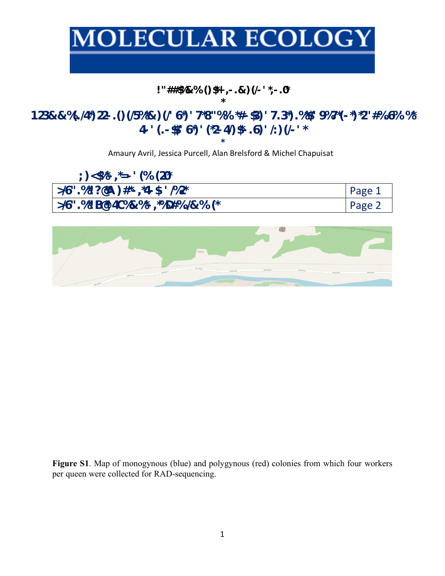# **MOLECULAR ECOLOGY**

## **!"##\$%&%'()\$\*+',-.&)(/-'\*,-.0\***

### **\* 123&&%(./4\*)22-.()(/5%\*&)(/'6\*)'7\*8"%%'\*#-\$3)'7.3\*).%\*\$/'9%7\*(-\*)\*2"#%.6%'%\* 4-'(.-\$\$/'6\*)'(\*2-4/)\$\*-.6)'/:)(/-'\***

**\*** Amaury Avril, Jessica Purcell, Alan Brelsford & Michel Chapuisat

| $\binom{1}{2}$ <\$%* – ,*= – ' (%' (20*) |        |
|------------------------------------------|--------|
| $>$ /6".%*!?@A)#*-,*4-\$-'/%2*           | Page 1 |
| >/6".%*! B@! 4C%&%*-,*%D#%./&%′(*        | Page 2 |

**Figure S1**. Map of monogynous (blue) and polygynous (red) colonies from which four workers per queen were collected for RAD-sequencing.